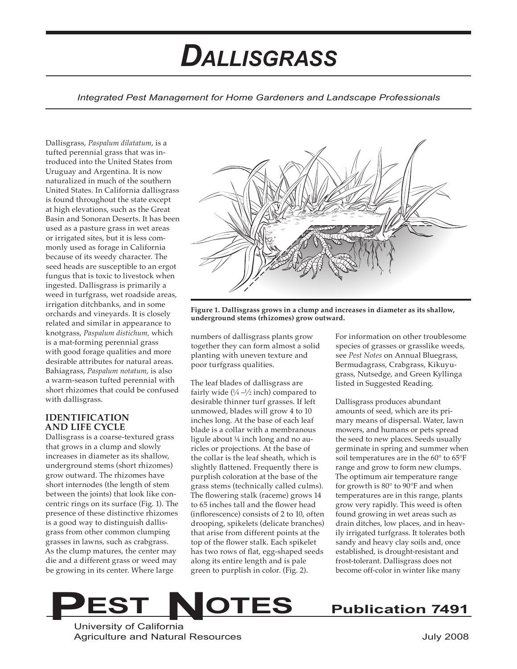# *DALLISGRASS*

*Integrated Pest Management for Home Gardeners and Landscape Professionals*

Dallisgrass, *Paspalum dilatatum*, is a tufted perennial grass that was introduced into the United States from Uruguay and Argentina. It is now naturalized in much of the southern United States. In California dallisgrass is found throughout the state except at high elevations, such as the Great Basin and Sonoran Deserts. It has been used as a pasture grass in wet areas or irrigated sites, but it is less commonly used as forage in California because of its weedy character. The seed heads are susceptible to an ergot fungus that is toxic to livestock when ingested. Dallisgrass is primarily a weed in turfgrass, wet roadside areas, irrigation ditchbanks, and in some orchards and vineyards. It is closely related and similar in appearance to knotgrass, *Paspalum distichum,* which is a mat-forming perennial grass with good forage qualities and more desirable attributes for natural areas. Bahiagrass, *Paspalum notatum*, is also a warm-season tufted perennial with short rhizomes that could be confused with dallisgrass.

## **IDENTIFICATION AND LIFE CYCLE**

Dallisgrass is a coarse-textured grass that grows in a clump and slowly increases in diameter as its shallow, underground stems (short rhizomes) grow outward. The rhizomes have short internodes (the length of stem between the joints) that look like concentric rings on its surface (Fig. 1). The presence of these distinctive rhizomes is a good way to distinguish dallisgrass from other common clumping grasses in lawns, such as crabgrass. As the clump matures, the center may die and a different grass or weed may be growing in its center. Where large



**Figure 1. Dallisgrass grows in a clump and increases in diameter as its shallow, underground stems (rhizomes) grow outward.**

numbers of dallisgrass plants grow together they can form almost a solid planting with uneven texture and poor turfgrass qualities.

The leaf blades of dallisgrass are fairly wide  $(1/4 - 1/2)$  inch) compared to desirable thinner turf grasses. If left unmowed, blades will grow 4 to 10 inches long. At the base of each leaf blade is a collar with a membranous ligule about ¼ inch long and no auricles or projections. At the base of the collar is the leaf sheath, which is slightly flattened. Frequently there is purplish coloration at the base of the grass stems (technically called culms). The flowering stalk (raceme) grows 14 to 65 inches tall and the flower head (inflorescence) consists of 2 to 10, often drooping, spikelets (delicate branches) that arise from different points at the top of the flower stalk. Each spikelet has two rows of flat, egg-shaped seeds along its entire length and is pale green to purplish in color. (Fig. 2).

For information on other troublesome species of grasses or grasslike weeds, see *Pest Notes* on Annual Bluegrass, Bermudagrass, Crabgrass, Kikuyugrass, Nutsedge, and Green Kyllinga listed in Suggested Reading.

Dallisgrass produces abundant amounts of seed, which are its primary means of dispersal. Water, lawn mowers, and humans or pets spread the seed to new places. Seeds usually germinate in spring and summer when soil temperatures are in the 60° to 65°F range and grow to form new clumps. The optimum air temperature range for growth is 80° to 90°F and when temperatures are in this range, plants grow very rapidly. This weed is often found growing in wet areas such as drain ditches, low places, and in heavily irrigated turfgrass. It tolerates both sandy and heavy clay soils and, once established, is drought-resistant and frost-tolerant. Dallisgrass does not become off-color in winter like many



University of California Agriculture and Natural Resources **Agriculture and Natural Resources** Agriculture and Natural Resources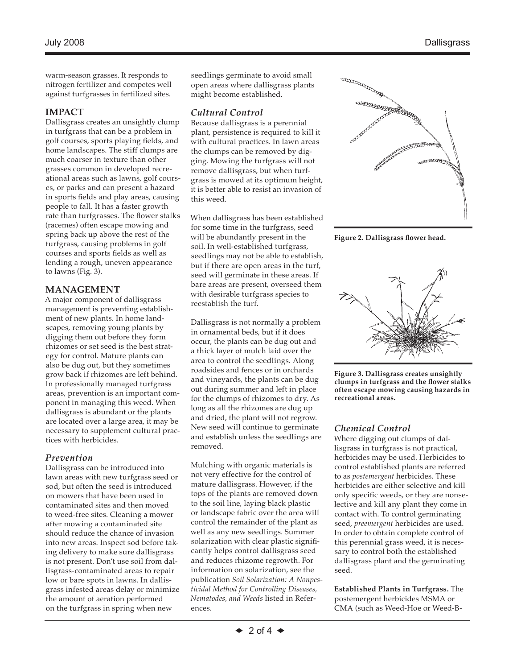warm-season grasses. It responds to nitrogen fertilizer and competes well against turfgrasses in fertilized sites.

### **IMPACT**

Dallisgrass creates an unsightly clump in turfgrass that can be a problem in golf courses, sports playing fields, and home landscapes. The stiff clumps are much coarser in texture than other grasses common in developed recreational areas such as lawns, golf courses, or parks and can present a hazard in sports fields and play areas, causing people to fall. It has a faster growth rate than turfgrasses. The flower stalks (racemes) often escape mowing and spring back up above the rest of the turfgrass, causing problems in golf courses and sports fields as well as lending a rough, uneven appearance to lawns (Fig. 3).

## **MANAGEMENT**

A major component of dallisgrass management is preventing establishment of new plants. In home landscapes, removing young plants by digging them out before they form rhizomes or set seed is the best strategy for control. Mature plants can also be dug out, but they sometimes grow back if rhizomes are left behind. In professionally managed turfgrass areas, prevention is an important component in managing this weed. When dallisgrass is abundant or the plants are located over a large area, it may be necessary to supplement cultural practices with herbicides.

## *Prevention*

Dallisgrass can be introduced into lawn areas with new turfgrass seed or sod, but often the seed is introduced on mowers that have been used in contaminated sites and then moved to weed-free sites. Cleaning a mower after mowing a contaminated site should reduce the chance of invasion into new areas. Inspect sod before taking delivery to make sure dallisgrass is not present. Don't use soil from dallisgrass-contaminated areas to repair low or bare spots in lawns. In dallisgrass infested areas delay or minimize the amount of aeration performed on the turfgrass in spring when new

seedlings germinate to avoid small open areas where dallisgrass plants might become established.

## *Cultural Control*

Because dallisgrass is a perennial plant, persistence is required to kill it with cultural practices. In lawn areas the clumps can be removed by digging. Mowing the turfgrass will not remove dallisgrass, but when turfgrass is mowed at its optimum height, it is better able to resist an invasion of this weed.

When dallisgrass has been established for some time in the turfgrass, seed will be abundantly present in the soil. In well-established turfgrass, seedlings may not be able to establish, but if there are open areas in the turf, seed will germinate in these areas. If bare areas are present, overseed them with desirable turfgrass species to reestablish the turf.

Dallisgrass is not normally a problem in ornamental beds, but if it does occur, the plants can be dug out and a thick layer of mulch laid over the area to control the seedlings. Along roadsides and fences or in orchards and vineyards, the plants can be dug out during summer and left in place for the clumps of rhizomes to dry. As long as all the rhizomes are dug up and dried, the plant will not regrow. New seed will continue to germinate and establish unless the seedlings are removed.

Mulching with organic materials is not very effective for the control of mature dallisgrass. However, if the tops of the plants are removed down to the soil line, laying black plastic or landscape fabric over the area will control the remainder of the plant as well as any new seedlings. Summer solarization with clear plastic significantly helps control dallisgrass seed and reduces rhizome regrowth. For information on solarization, see the publication *Soil Solarization: A Nonpesticidal Method for Controlling Diseases, Nematodes, and Weeds* listed in References.



**Figure 2. Dallisgrass flower head.**



**Figure 3. Dallisgrass creates unsightly clumps in turfgrass and the flower stalks often escape mowing causing hazards in recreational areas.**

# *Chemical Control*

Where digging out clumps of dallisgrass in turfgrass is not practical, herbicides may be used. Herbicides to control established plants are referred to as *postemergent* herbicides. These herbicides are either selective and kill only specific weeds, or they are nonselective and kill any plant they come in contact with. To control germinating seed, *preemergent* herbicides are used. In order to obtain complete control of this perennial grass weed, it is necessary to control both the established dallisgrass plant and the germinating seed.

**Established Plants in Turfgrass.** The postemergent herbicides MSMA or CMA (such as Weed-Hoe or Weed-B-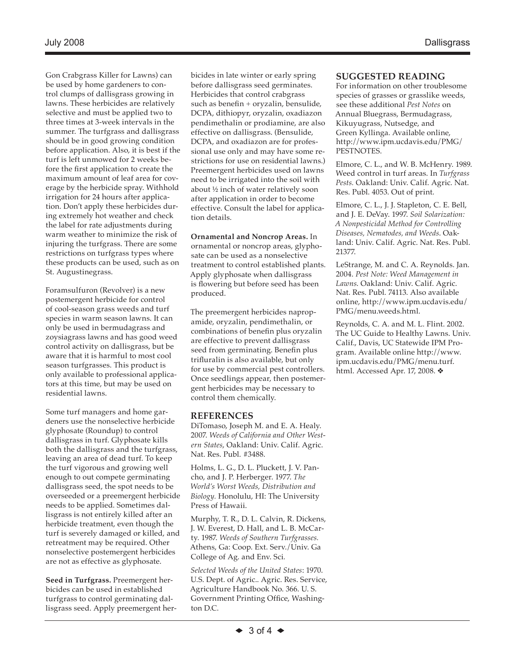Gon Crabgrass Killer for Lawns) can be used by home gardeners to control clumps of dallisgrass growing in lawns. These herbicides are relatively selective and must be applied two to three times at 3-week intervals in the summer. The turfgrass and dallisgrass should be in good growing condition before application. Also, it is best if the turf is left unmowed for 2 weeks before the first application to create the maximum amount of leaf area for coverage by the herbicide spray. Withhold irrigation for 24 hours after application. Don't apply these herbicides during extremely hot weather and check the label for rate adjustments during warm weather to minimize the risk of injuring the turfgrass. There are some restrictions on turfgrass types where these products can be used, such as on St. Augustinegrass.

Foramsulfuron (Revolver) is a new postemergent herbicide for control of cool-season grass weeds and turf species in warm season lawns. It can only be used in bermudagrass and zoysiagrass lawns and has good weed control activity on dallisgrass, but be aware that it is harmful to most cool season turfgrasses. This product is only available to professional applicators at this time, but may be used on residential lawns.

Some turf managers and home gardeners use the nonselective herbicide glyphosate (Roundup) to control dallisgrass in turf. Glyphosate kills both the dallisgrass and the turfgrass, leaving an area of dead turf. To keep the turf vigorous and growing well enough to out compete germinating dallisgrass seed, the spot needs to be overseeded or a preemergent herbicide needs to be applied. Sometimes dallisgrass is not entirely killed after an herbicide treatment, even though the turf is severely damaged or killed, and retreatment may be required. Other nonselective postemergent herbicides are not as effective as glyphosate.

**Seed in Turfgrass.** Preemergent herbicides can be used in established turfgrass to control germinating dallisgrass seed. Apply preemergent her-

bicides in late winter or early spring before dallisgrass seed germinates. Herbicides that control crabgrass such as benefin + oryzalin, bensulide, DCPA, dithiopyr, oryzalin, oxadiazon pendimethalin or prodiamine, are also effective on dallisgrass. (Bensulide, DCPA, and oxadiazon are for professional use only and may have some restrictions for use on residential lawns.) Preemergent herbicides used on lawns need to be irrigated into the soil with about ½ inch of water relatively soon after application in order to become effective. Consult the label for application details.

**Ornamental and Noncrop Areas.** In ornamental or noncrop areas, glyphosate can be used as a nonselective treatment to control established plants. Apply glyphosate when dallisgrass is flowering but before seed has been produced.

The preemergent herbicides napropamide, oryzalin, pendimethalin, or combinations of benefin plus oryzalin are effective to prevent dallisgrass seed from germinating. Benefin plus trifluralin is also available, but only for use by commercial pest controllers. Once seedlings appear, then postemergent herbicides may be necessary to control them chemically.

### **REFERENCES**

DiTomaso, Joseph M. and E. A. Healy. 2007. *Weeds of California and Other Western States*, Oakland: Univ. Calif. Agric. Nat. Res. Publ. #3488.

Holms, L. G., D. L. Pluckett, J. V. Pancho, and J. P. Herberger. 1977. *The World's Worst Weeds, Distribution and Biology.* Honolulu, HI: The University Press of Hawaii.

Murphy, T. R., D. L. Calvin, R. Dickens, J. W. Everest, D. Hall, and L. B. McCarty. 1987. *Weeds of Southern Turfgrasses.* Athens, Ga: Coop. Ext. Serv./Univ. Ga College of Ag. and Env. Sci*.*

*Selected Weeds of the United States*: 1970. U.S. Dept. of Agric.. Agric. Res. Service, Agriculture Handbook No. 366. U. S. Government Printing Office, Washington D.C.

## **SUGGESTED READING**

For information on other troublesome species of grasses or grasslike weeds, see these additional *Pest Notes* on Annual Bluegrass, Bermudagrass, Kikuyugrass, Nutsedge, and Green Kyllinga. Available online, http://www.ipm.ucdavis.edu/PMG/ PESTNOTES.

Elmore, C. L., and W. B. McHenry. 1989. Weed control in turf areas. In *Turfgrass Pests.* Oakland: Univ. Calif. Agric. Nat. Res. Publ. 4053. Out of print.

Elmore, C. L., J. J. Stapleton, C. E. Bell, and J. E. DeVay. 1997. *Soil Solarization: A Nonpesticidal Method for Controlling Diseases, Nematodes, and Weeds*. Oakland: Univ. Calif. Agric. Nat. Res. Publ. 21377.

LeStrange, M. and C. A. Reynolds. Jan. 2004. *Pest Note: Weed Management in Lawns*. Oakland: Univ. Calif. Agric. Nat. Res. Publ. 74113. Also available online, http://www.ipm.ucdavis.edu/ PMG/menu.weeds.html.

Reynolds, C. A. and M. L. Flint. 2002. The UC Guide to Healthy Lawns. Univ. Calif., Davis, UC Statewide IPM Program. Available online http://www. ipm.ucdavis.edu/PMG/menu.turf. html. Accessed Apr. 17, 2008. ❖